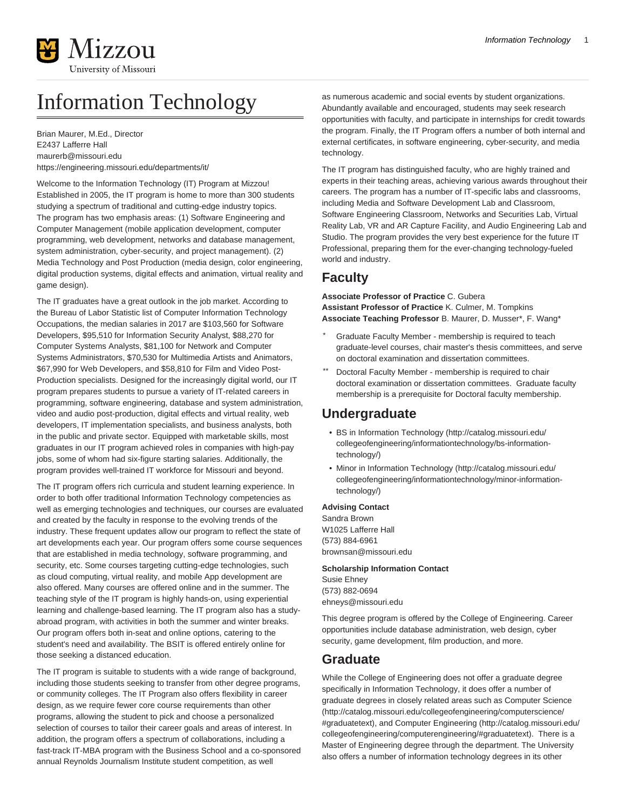

# Information Technology

Brian Maurer, M.Ed., Director E2437 Lafferre Hall [maurerb@missouri.edu](mailto:maurerb@missouri.edu) <https://engineering.missouri.edu/departments/it/>

Welcome to the Information Technology (IT) Program at Mizzou! Established in 2005, the IT program is home to more than 300 students studying a spectrum of traditional and cutting-edge industry topics. The program has two emphasis areas: (1) Software Engineering and Computer Management (mobile application development, computer programming, web development, networks and database management, system administration, cyber-security, and project management). (2) Media Technology and Post Production (media design, color engineering, digital production systems, digital effects and animation, virtual reality and game design).

The IT graduates have a great outlook in the job market. According to the Bureau of Labor Statistic list of Computer Information Technology Occupations, the median salaries in 2017 are \$103,560 for Software Developers, \$95,510 for Information Security Analyst, \$88,270 for Computer Systems Analysts, \$81,100 for Network and Computer Systems Administrators, \$70,530 for Multimedia Artists and Animators, \$67,990 for Web Developers, and \$58,810 for Film and Video Post-Production specialists. Designed for the increasingly digital world, our IT program prepares students to pursue a variety of IT-related careers in programming, software engineering, database and system administration, video and audio post-production, digital effects and virtual reality, web developers, IT implementation specialists, and business analysts, both in the public and private sector. Equipped with marketable skills, most graduates in our IT program achieved roles in companies with high-pay jobs, some of whom had six-figure starting salaries. Additionally, the program provides well-trained IT workforce for Missouri and beyond.

The IT program offers rich curricula and student learning experience. In order to both offer traditional Information Technology competencies as well as emerging technologies and techniques, our courses are evaluated and created by the faculty in response to the evolving trends of the industry. These frequent updates allow our program to reflect the state of art developments each year. Our program offers some course sequences that are established in media technology, software programming, and security, etc. Some courses targeting cutting-edge technologies, such as cloud computing, virtual reality, and mobile App development are also offered. Many courses are offered online and in the summer. The teaching style of the IT program is highly hands-on, using experiential learning and challenge-based learning. The IT program also has a studyabroad program, with activities in both the summer and winter breaks. Our program offers both in-seat and online options, catering to the student's need and availability. The BSIT is offered entirely online for those seeking a distanced education.

The IT program is suitable to students with a wide range of background, including those students seeking to transfer from other degree programs, or community colleges. The IT Program also offers flexibility in career design, as we require fewer core course requirements than other programs, allowing the student to pick and choose a personalized selection of courses to tailor their career goals and areas of interest. In addition, the program offers a spectrum of collaborations, including a fast-track IT-MBA program with the Business School and a co-sponsored annual Reynolds Journalism Institute student competition, as well

as numerous academic and social events by student organizations. Abundantly available and encouraged, students may seek research opportunities with faculty, and participate in internships for credit towards the program. Finally, the IT Program offers a number of both internal and external certificates, in software engineering, cyber-security, and media technology.

The IT program has distinguished faculty, who are highly trained and experts in their teaching areas, achieving various awards throughout their careers. The program has a number of IT-specific labs and classrooms, including Media and Software Development Lab and Classroom, Software Engineering Classroom, Networks and Securities Lab, Virtual Reality Lab, VR and AR Capture Facility, and Audio Engineering Lab and Studio. The program provides the very best experience for the future IT Professional, preparing them for the ever-changing technology-fueled world and industry.

## **Faculty**

**Associate Professor of Practice** C. Gubera **Assistant Professor of Practice** K. Culmer, M. Tompkins **Associate Teaching Professor** B. Maurer, D. Musser\*, F. Wang\*

- Graduate Faculty Member membership is required to teach graduate-level courses, chair master's thesis committees, and serve on doctoral examination and dissertation committees.
- Doctoral Faculty Member membership is required to chair doctoral examination or dissertation committees. Graduate faculty membership is a prerequisite for Doctoral faculty membership.

### **Undergraduate**

- [BS in Information Technology](http://catalog.missouri.edu/collegeofengineering/informationtechnology/bs-information-technology/) ([http://catalog.missouri.edu/](http://catalog.missouri.edu/collegeofengineering/informationtechnology/bs-information-technology/) [collegeofengineering/informationtechnology/bs-information](http://catalog.missouri.edu/collegeofengineering/informationtechnology/bs-information-technology/)[technology/\)](http://catalog.missouri.edu/collegeofengineering/informationtechnology/bs-information-technology/)
- [Minor in Information Technology](http://catalog.missouri.edu/collegeofengineering/informationtechnology/minor-information-technology/) [\(http://catalog.missouri.edu/](http://catalog.missouri.edu/collegeofengineering/informationtechnology/minor-information-technology/) [collegeofengineering/informationtechnology/minor-information](http://catalog.missouri.edu/collegeofengineering/informationtechnology/minor-information-technology/)[technology/\)](http://catalog.missouri.edu/collegeofengineering/informationtechnology/minor-information-technology/)

#### **Advising Contact**

Sandra Brown W1025 Lafferre Hall (573) 884-6961 [brownsan@missouri.edu](mailto:brownsan@missouri.edu)

**Scholarship Information Contact**

Susie Ehney (573) 882-0694 [ehneys@missouri.edu](mailto:ehneys@missouri.edu)

This degree program is offered by the College of Engineering. Career opportunities include database administration, web design, cyber security, game development, film production, and more.

### **Graduate**

While the College of Engineering does not offer a graduate degree specifically in Information Technology, it does offer a number of graduate degrees in closely related areas such as [Computer Science](http://catalog.missouri.edu/collegeofengineering/computerscience/#graduatetext) ([http://catalog.missouri.edu/collegeofengineering/computerscience/](http://catalog.missouri.edu/collegeofengineering/computerscience/#graduatetext) [#graduatetext\)](http://catalog.missouri.edu/collegeofengineering/computerscience/#graduatetext), and [Computer Engineering](http://catalog.missouri.edu/collegeofengineering/computerengineering/#graduatetext) ([http://catalog.missouri.edu/](http://catalog.missouri.edu/collegeofengineering/computerengineering/#graduatetext) [collegeofengineering/computerengineering/#graduatetext](http://catalog.missouri.edu/collegeofengineering/computerengineering/#graduatetext)). There is a Master of Engineering degree through the department. The University also offers a number of information technology degrees in its other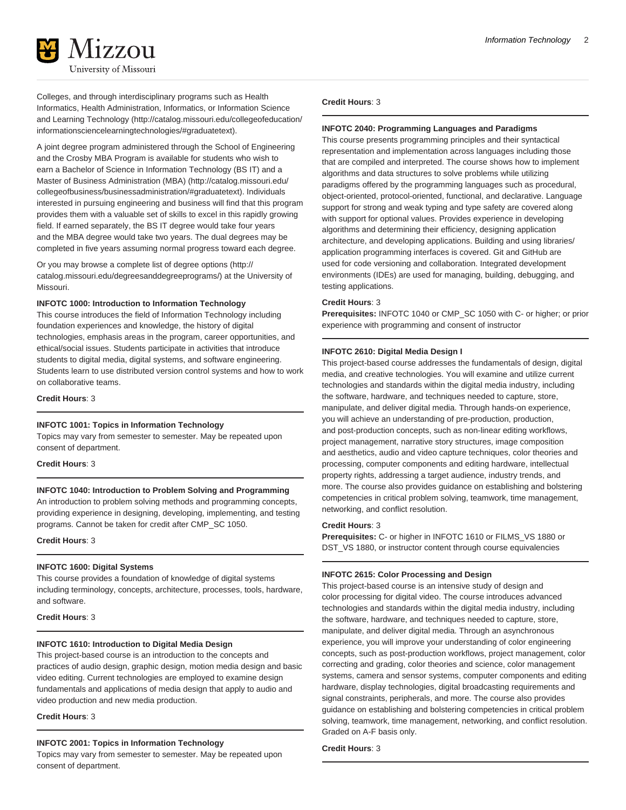

Colleges, and through interdisciplinary programs such as Health Informatics, Health Administration, Informatics, or [Information Science](http://catalog.missouri.edu/collegeofeducation/informationsciencelearningtechnologies/#graduatetext) [and Learning Technology](http://catalog.missouri.edu/collegeofeducation/informationsciencelearningtechnologies/#graduatetext) [\(http://catalog.missouri.edu/collegeofeducation/](http://catalog.missouri.edu/collegeofeducation/informationsciencelearningtechnologies/#graduatetext) [informationsciencelearningtechnologies/#graduatetext](http://catalog.missouri.edu/collegeofeducation/informationsciencelearningtechnologies/#graduatetext)).

A joint degree program administered through the School of Engineering and the Crosby MBA Program is available for students who wish to earn a Bachelor of Science in Information Technology (BS IT) and a [Master of Business Administration \(MBA\)](http://catalog.missouri.edu/collegeofbusiness/businessadministration/#graduatetext) ([http://catalog.missouri.edu/](http://catalog.missouri.edu/collegeofbusiness/businessadministration/#graduatetext) [collegeofbusiness/businessadministration/#graduatetext](http://catalog.missouri.edu/collegeofbusiness/businessadministration/#graduatetext)). Individuals interested in pursuing engineering and business will find that this program provides them with a valuable set of skills to excel in this rapidly growing field. If earned separately, the BS IT degree would take four years and the MBA degree would take two years. The dual degrees may be completed in five years assuming normal progress toward each degree.

Or you may browse a [complete list of degree options](http://catalog.missouri.edu/degreesanddegreeprograms/) ([http://](http://catalog.missouri.edu/degreesanddegreeprograms/) [catalog.missouri.edu/degreesanddegreeprograms/\)](http://catalog.missouri.edu/degreesanddegreeprograms/) at the University of Missouri.

#### **INFOTC 1000: Introduction to Information Technology**

This course introduces the field of Information Technology including foundation experiences and knowledge, the history of digital technologies, emphasis areas in the program, career opportunities, and ethical/social issues. Students participate in activities that introduce students to digital media, digital systems, and software engineering. Students learn to use distributed version control systems and how to work on collaborative teams.

#### **Credit Hours**: 3

#### **INFOTC 1001: Topics in Information Technology**

Topics may vary from semester to semester. May be repeated upon consent of department.

#### **Credit Hours**: 3

#### **INFOTC 1040: Introduction to Problem Solving and Programming**

An introduction to problem solving methods and programming concepts, providing experience in designing, developing, implementing, and testing programs. Cannot be taken for credit after CMP\_SC 1050.

#### **Credit Hours**: 3

#### **INFOTC 1600: Digital Systems**

This course provides a foundation of knowledge of digital systems including terminology, concepts, architecture, processes, tools, hardware, and software.

#### **Credit Hours**: 3

#### **INFOTC 1610: Introduction to Digital Media Design**

This project-based course is an introduction to the concepts and practices of audio design, graphic design, motion media design and basic video editing. Current technologies are employed to examine design fundamentals and applications of media design that apply to audio and video production and new media production.

#### **Credit Hours**: 3

#### **INFOTC 2001: Topics in Information Technology**

Topics may vary from semester to semester. May be repeated upon consent of department.

#### **Credit Hours**: 3

#### **INFOTC 2040: Programming Languages and Paradigms**

This course presents programming principles and their syntactical representation and implementation across languages including those that are compiled and interpreted. The course shows how to implement algorithms and data structures to solve problems while utilizing paradigms offered by the programming languages such as procedural, object-oriented, protocol-oriented, functional, and declarative. Language support for strong and weak typing and type safety are covered along with support for optional values. Provides experience in developing algorithms and determining their efficiency, designing application architecture, and developing applications. Building and using libraries/ application programming interfaces is covered. Git and GitHub are used for code versioning and collaboration. Integrated development environments (IDEs) are used for managing, building, debugging, and testing applications.

#### **Credit Hours**: 3

**Prerequisites:** INFOTC 1040 or CMP\_SC 1050 with C- or higher; or prior experience with programming and consent of instructor

#### **INFOTC 2610: Digital Media Design I**

This project-based course addresses the fundamentals of design, digital media, and creative technologies. You will examine and utilize current technologies and standards within the digital media industry, including the software, hardware, and techniques needed to capture, store, manipulate, and deliver digital media. Through hands-on experience, you will achieve an understanding of pre-production, production, and post-production concepts, such as non-linear editing workflows, project management, narrative story structures, image composition and aesthetics, audio and video capture techniques, color theories and processing, computer components and editing hardware, intellectual property rights, addressing a target audience, industry trends, and more. The course also provides guidance on establishing and bolstering competencies in critical problem solving, teamwork, time management, networking, and conflict resolution.

#### **Credit Hours**: 3

**Prerequisites:** C- or higher in INFOTC 1610 or FILMS\_VS 1880 or DST\_VS 1880, or instructor content through course equivalencies

#### **INFOTC 2615: Color Processing and Design**

This project-based course is an intensive study of design and color processing for digital video. The course introduces advanced technologies and standards within the digital media industry, including the software, hardware, and techniques needed to capture, store, manipulate, and deliver digital media. Through an asynchronous experience, you will improve your understanding of color engineering concepts, such as post-production workflows, project management, color correcting and grading, color theories and science, color management systems, camera and sensor systems, computer components and editing hardware, display technologies, digital broadcasting requirements and signal constraints, peripherals, and more. The course also provides guidance on establishing and bolstering competencies in critical problem solving, teamwork, time management, networking, and conflict resolution. Graded on A-F basis only.

#### **Credit Hours**: 3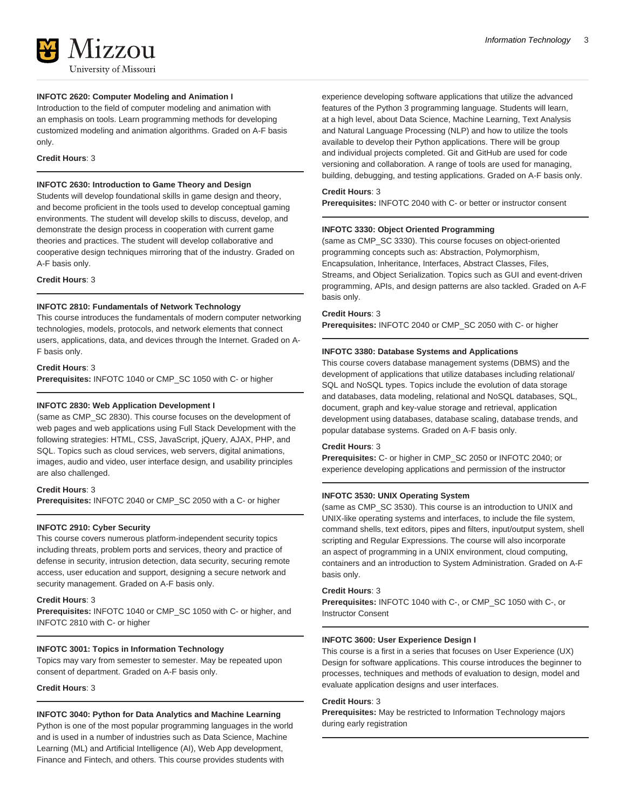### **INFOTC 2620: Computer Modeling and Animation I**

Introduction to the field of computer modeling and animation with an emphasis on tools. Learn programming methods for developing customized modeling and animation algorithms. Graded on A-F basis only.

#### **Credit Hours**: 3

### **INFOTC 2630: Introduction to Game Theory and Design**

Students will develop foundational skills in game design and theory, and become proficient in the tools used to develop conceptual gaming environments. The student will develop skills to discuss, develop, and demonstrate the design process in cooperation with current game theories and practices. The student will develop collaborative and cooperative design techniques mirroring that of the industry. Graded on A-F basis only.

**Credit Hours**: 3

#### **INFOTC 2810: Fundamentals of Network Technology**

This course introduces the fundamentals of modern computer networking technologies, models, protocols, and network elements that connect users, applications, data, and devices through the Internet. Graded on A-F basis only.

#### **Credit Hours**: 3

**Prerequisites:** INFOTC 1040 or CMP\_SC 1050 with C- or higher

#### **INFOTC 2830: Web Application Development I**

(same as CMP\_SC 2830). This course focuses on the development of web pages and web applications using Full Stack Development with the following strategies: HTML, CSS, JavaScript, jQuery, AJAX, PHP, and SQL. Topics such as cloud services, web servers, digital animations, images, audio and video, user interface design, and usability principles are also challenged.

#### **Credit Hours**: 3

**Prerequisites:** INFOTC 2040 or CMP\_SC 2050 with a C- or higher

#### **INFOTC 2910: Cyber Security**

This course covers numerous platform-independent security topics including threats, problem ports and services, theory and practice of defense in security, intrusion detection, data security, securing remote access, user education and support, designing a secure network and security management. Graded on A-F basis only.

#### **Credit Hours**: 3

**Prerequisites:** INFOTC 1040 or CMP\_SC 1050 with C- or higher, and INFOTC 2810 with C- or higher

#### **INFOTC 3001: Topics in Information Technology**

Topics may vary from semester to semester. May be repeated upon consent of department. Graded on A-F basis only.

**Credit Hours**: 3

#### **INFOTC 3040: Python for Data Analytics and Machine Learning**

Python is one of the most popular programming languages in the world and is used in a number of industries such as Data Science, Machine Learning (ML) and Artificial Intelligence (AI), Web App development, Finance and Fintech, and others. This course provides students with

experience developing software applications that utilize the advanced features of the Python 3 programming language. Students will learn, at a high level, about Data Science, Machine Learning, Text Analysis and Natural Language Processing (NLP) and how to utilize the tools available to develop their Python applications. There will be group and individual projects completed. Git and GitHub are used for code versioning and collaboration. A range of tools are used for managing, building, debugging, and testing applications. Graded on A-F basis only.

#### **Credit Hours**: 3

**Prerequisites:** INFOTC 2040 with C- or better or instructor consent

#### **INFOTC 3330: Object Oriented Programming**

(same as CMP\_SC 3330). This course focuses on object-oriented programming concepts such as: Abstraction, Polymorphism, Encapsulation, Inheritance, Interfaces, Abstract Classes, Files, Streams, and Object Serialization. Topics such as GUI and event-driven programming, APIs, and design patterns are also tackled. Graded on A-F basis only.

#### **Credit Hours**: 3

**Prerequisites:** INFOTC 2040 or CMP\_SC 2050 with C- or higher

#### **INFOTC 3380: Database Systems and Applications**

This course covers database management systems (DBMS) and the development of applications that utilize databases including relational/ SQL and NoSQL types. Topics include the evolution of data storage and databases, data modeling, relational and NoSQL databases, SQL, document, graph and key-value storage and retrieval, application development using databases, database scaling, database trends, and popular database systems. Graded on A-F basis only.

#### **Credit Hours**: 3

**Prerequisites:** C- or higher in CMP\_SC 2050 or INFOTC 2040; or experience developing applications and permission of the instructor

#### **INFOTC 3530: UNIX Operating System**

(same as CMP\_SC 3530). This course is an introduction to UNIX and UNIX-like operating systems and interfaces, to include the file system, command shells, text editors, pipes and filters, input/output system, shell scripting and Regular Expressions. The course will also incorporate an aspect of programming in a UNIX environment, cloud computing, containers and an introduction to System Administration. Graded on A-F basis only.

#### **Credit Hours**: 3

**Prerequisites:** INFOTC 1040 with C-, or CMP\_SC 1050 with C-, or Instructor Consent

#### **INFOTC 3600: User Experience Design I**

This course is a first in a series that focuses on User Experience (UX) Design for software applications. This course introduces the beginner to processes, techniques and methods of evaluation to design, model and evaluate application designs and user interfaces.

#### **Credit Hours**: 3

**Prerequisites:** May be restricted to Information Technology majors during early registration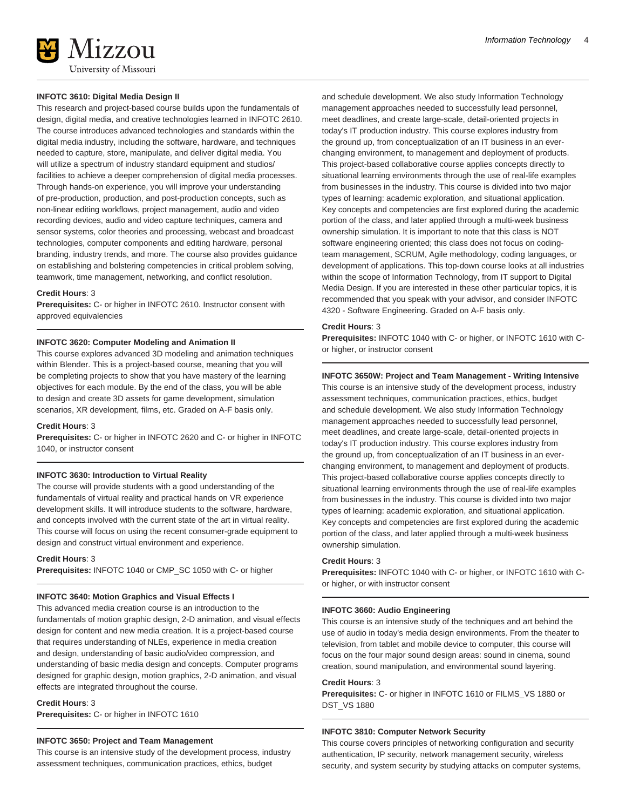

#### **INFOTC 3610: Digital Media Design II**

This research and project-based course builds upon the fundamentals of design, digital media, and creative technologies learned in INFOTC 2610. The course introduces advanced technologies and standards within the digital media industry, including the software, hardware, and techniques needed to capture, store, manipulate, and deliver digital media. You will utilize a spectrum of industry standard equipment and studios/ facilities to achieve a deeper comprehension of digital media processes. Through hands-on experience, you will improve your understanding of pre-production, production, and post-production concepts, such as non-linear editing workflows, project management, audio and video recording devices, audio and video capture techniques, camera and sensor systems, color theories and processing, webcast and broadcast technologies, computer components and editing hardware, personal branding, industry trends, and more. The course also provides guidance on establishing and bolstering competencies in critical problem solving, teamwork, time management, networking, and conflict resolution.

#### **Credit Hours**: 3

**Prerequisites:** C- or higher in INFOTC 2610. Instructor consent with approved equivalencies

#### **INFOTC 3620: Computer Modeling and Animation II**

This course explores advanced 3D modeling and animation techniques within Blender. This is a project-based course, meaning that you will be completing projects to show that you have mastery of the learning objectives for each module. By the end of the class, you will be able to design and create 3D assets for game development, simulation scenarios, XR development, films, etc. Graded on A-F basis only.

#### **Credit Hours**: 3

**Prerequisites:** C- or higher in INFOTC 2620 and C- or higher in INFOTC 1040, or instructor consent

#### **INFOTC 3630: Introduction to Virtual Reality**

The course will provide students with a good understanding of the fundamentals of virtual reality and practical hands on VR experience development skills. It will introduce students to the software, hardware, and concepts involved with the current state of the art in virtual reality. This course will focus on using the recent consumer-grade equipment to design and construct virtual environment and experience.

**Credit Hours**: 3

**Prerequisites:** INFOTC 1040 or CMP\_SC 1050 with C- or higher

#### **INFOTC 3640: Motion Graphics and Visual Effects I**

This advanced media creation course is an introduction to the fundamentals of motion graphic design, 2-D animation, and visual effects design for content and new media creation. It is a project-based course that requires understanding of NLEs, experience in media creation and design, understanding of basic audio/video compression, and understanding of basic media design and concepts. Computer programs designed for graphic design, motion graphics, 2-D animation, and visual effects are integrated throughout the course.

#### **Credit Hours**: 3

**Prerequisites:** C- or higher in INFOTC 1610

#### **INFOTC 3650: Project and Team Management**

This course is an intensive study of the development process, industry assessment techniques, communication practices, ethics, budget

and schedule development. We also study Information Technology management approaches needed to successfully lead personnel, meet deadlines, and create large-scale, detail-oriented projects in today's IT production industry. This course explores industry from the ground up, from conceptualization of an IT business in an everchanging environment, to management and deployment of products. This project-based collaborative course applies concepts directly to situational learning environments through the use of real-life examples from businesses in the industry. This course is divided into two major types of learning: academic exploration, and situational application. Key concepts and competencies are first explored during the academic portion of the class, and later applied through a multi-week business ownership simulation. It is important to note that this class is NOT software engineering oriented; this class does not focus on codingteam management, SCRUM, Agile methodology, coding languages, or development of applications. This top-down course looks at all industries within the scope of Information Technology, from IT support to Digital Media Design. If you are interested in these other particular topics, it is recommended that you speak with your advisor, and consider INFOTC 4320 - Software Engineering. Graded on A-F basis only.

#### **Credit Hours**: 3

**Prerequisites:** INFOTC 1040 with C- or higher, or INFOTC 1610 with Cor higher, or instructor consent

#### **INFOTC 3650W: Project and Team Management - Writing Intensive**

This course is an intensive study of the development process, industry assessment techniques, communication practices, ethics, budget and schedule development. We also study Information Technology management approaches needed to successfully lead personnel, meet deadlines, and create large-scale, detail-oriented projects in today's IT production industry. This course explores industry from the ground up, from conceptualization of an IT business in an everchanging environment, to management and deployment of products. This project-based collaborative course applies concepts directly to situational learning environments through the use of real-life examples from businesses in the industry. This course is divided into two major types of learning: academic exploration, and situational application. Key concepts and competencies are first explored during the academic portion of the class, and later applied through a multi-week business ownership simulation.

#### **Credit Hours**: 3

**Prerequisites:** INFOTC 1040 with C- or higher, or INFOTC 1610 with Cor higher, or with instructor consent

#### **INFOTC 3660: Audio Engineering**

This course is an intensive study of the techniques and art behind the use of audio in today's media design environments. From the theater to television, from tablet and mobile device to computer, this course will focus on the four major sound design areas: sound in cinema, sound creation, sound manipulation, and environmental sound layering.

#### **Credit Hours**: 3

**Prerequisites:** C- or higher in INFOTC 1610 or FILMS\_VS 1880 or DST\_VS 1880

#### **INFOTC 3810: Computer Network Security**

This course covers principles of networking configuration and security authentication, IP security, network management security, wireless security, and system security by studying attacks on computer systems,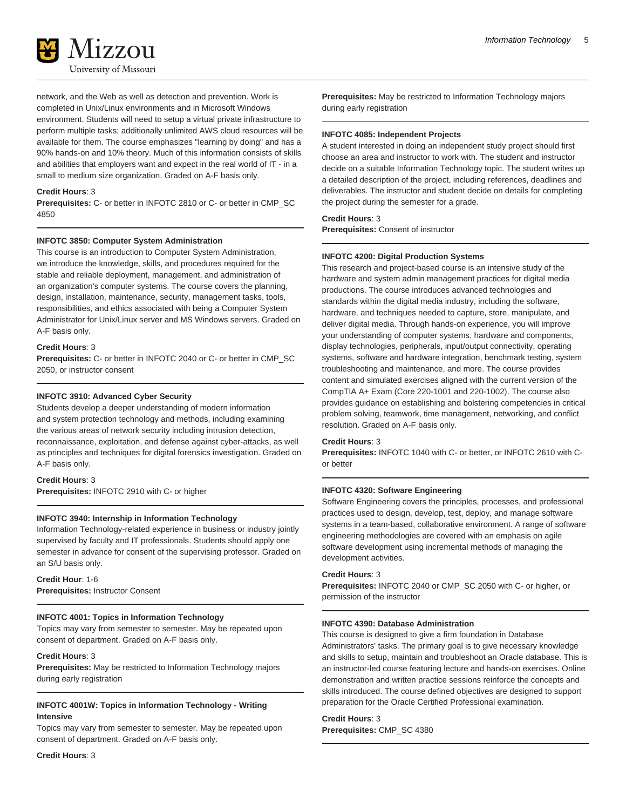

network, and the Web as well as detection and prevention. Work is completed in Unix/Linux environments and in Microsoft Windows environment. Students will need to setup a virtual private infrastructure to perform multiple tasks; additionally unlimited AWS cloud resources will be available for them. The course emphasizes "learning by doing" and has a 90% hands-on and 10% theory. Much of this information consists of skills and abilities that employers want and expect in the real world of IT - in a small to medium size organization. Graded on A-F basis only.

#### **Credit Hours**: 3

**Prerequisites:** C- or better in INFOTC 2810 or C- or better in CMP\_SC 4850

#### **INFOTC 3850: Computer System Administration**

This course is an introduction to Computer System Administration, we introduce the knowledge, skills, and procedures required for the stable and reliable deployment, management, and administration of an organization's computer systems. The course covers the planning, design, installation, maintenance, security, management tasks, tools, responsibilities, and ethics associated with being a Computer System Administrator for Unix/Linux server and MS Windows servers. Graded on A-F basis only.

#### **Credit Hours**: 3

**Prerequisites:** C- or better in INFOTC 2040 or C- or better in CMP\_SC 2050, or instructor consent

#### **INFOTC 3910: Advanced Cyber Security**

Students develop a deeper understanding of modern information and system protection technology and methods, including examining the various areas of network security including intrusion detection, reconnaissance, exploitation, and defense against cyber-attacks, as well as principles and techniques for digital forensics investigation. Graded on A-F basis only.

#### **Credit Hours**: 3

**Prerequisites:** INFOTC 2910 with C- or higher

#### **INFOTC 3940: Internship in Information Technology**

Information Technology-related experience in business or industry jointly supervised by faculty and IT professionals. Students should apply one semester in advance for consent of the supervising professor. Graded on an S/U basis only.

### **Credit Hour**: 1-6

**Prerequisites:** Instructor Consent

#### **INFOTC 4001: Topics in Information Technology**

Topics may vary from semester to semester. May be repeated upon consent of department. Graded on A-F basis only.

#### **Credit Hours**: 3

**Prerequisites:** May be restricted to Information Technology majors during early registration

#### **INFOTC 4001W: Topics in Information Technology - Writing Intensive**

Topics may vary from semester to semester. May be repeated upon consent of department. Graded on A-F basis only.

**Credit Hours**: 3

**Prerequisites:** May be restricted to Information Technology majors during early registration

#### **INFOTC 4085: Independent Projects**

A student interested in doing an independent study project should first choose an area and instructor to work with. The student and instructor decide on a suitable Information Technology topic. The student writes up a detailed description of the project, including references, deadlines and deliverables. The instructor and student decide on details for completing the project during the semester for a grade.

#### **Credit Hours**: 3

**Prerequisites:** Consent of instructor

#### **INFOTC 4200: Digital Production Systems**

This research and project-based course is an intensive study of the hardware and system admin management practices for digital media productions. The course introduces advanced technologies and standards within the digital media industry, including the software, hardware, and techniques needed to capture, store, manipulate, and deliver digital media. Through hands-on experience, you will improve your understanding of computer systems, hardware and components, display technologies, peripherals, input/output connectivity, operating systems, software and hardware integration, benchmark testing, system troubleshooting and maintenance, and more. The course provides content and simulated exercises aligned with the current version of the CompTIA A+ Exam (Core 220-1001 and 220-1002). The course also provides guidance on establishing and bolstering competencies in critical problem solving, teamwork, time management, networking, and conflict resolution. Graded on A-F basis only.

#### **Credit Hours**: 3

**Prerequisites:** INFOTC 1040 with C- or better, or INFOTC 2610 with Cor better

#### **INFOTC 4320: Software Engineering**

Software Engineering covers the principles, processes, and professional practices used to design, develop, test, deploy, and manage software systems in a team-based, collaborative environment. A range of software engineering methodologies are covered with an emphasis on agile software development using incremental methods of managing the development activities.

#### **Credit Hours**: 3

**Prerequisites:** INFOTC 2040 or CMP\_SC 2050 with C- or higher, or permission of the instructor

#### **INFOTC 4390: Database Administration**

This course is designed to give a firm foundation in Database Administrators' tasks. The primary goal is to give necessary knowledge and skills to setup, maintain and troubleshoot an Oracle database. This is an instructor-led course featuring lecture and hands-on exercises. Online demonstration and written practice sessions reinforce the concepts and skills introduced. The course defined objectives are designed to support preparation for the Oracle Certified Professional examination.

#### **Credit Hours**: 3

**Prerequisites:** CMP\_SC 4380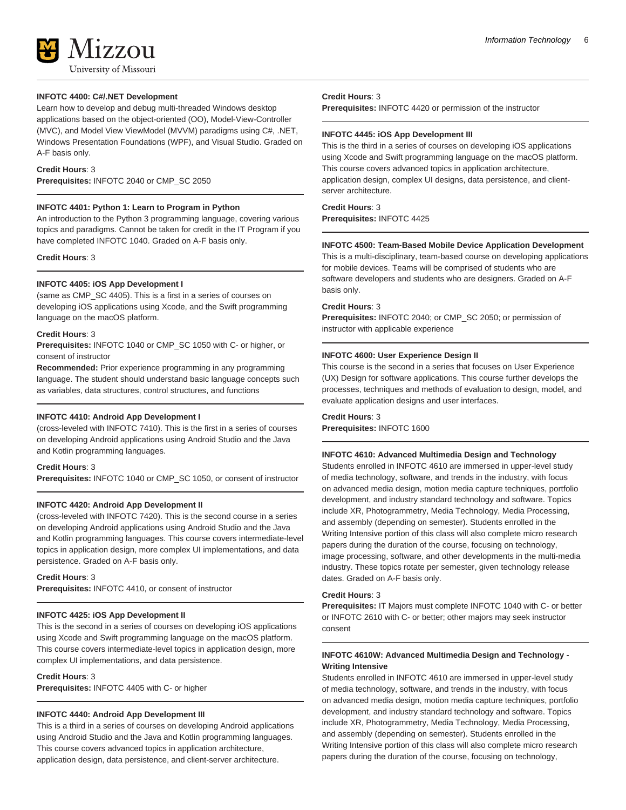

#### **INFOTC 4400: C#/.NET Development**

Learn how to develop and debug multi-threaded Windows desktop applications based on the object-oriented (OO), Model-View-Controller (MVC), and Model View ViewModel (MVVM) paradigms using C#, .NET, Windows Presentation Foundations (WPF), and Visual Studio. Graded on A-F basis only.

#### **Credit Hours**: 3

**Prerequisites:** INFOTC 2040 or CMP\_SC 2050

#### **INFOTC 4401: Python 1: Learn to Program in Python**

An introduction to the Python 3 programming language, covering various topics and paradigms. Cannot be taken for credit in the IT Program if you have completed INFOTC 1040. Graded on A-F basis only.

**Credit Hours**: 3

#### **INFOTC 4405: iOS App Development I**

(same as CMP\_SC 4405). This is a first in a series of courses on developing iOS applications using Xcode, and the Swift programming language on the macOS platform.

#### **Credit Hours**: 3

**Prerequisites:** INFOTC 1040 or CMP\_SC 1050 with C- or higher, or consent of instructor

**Recommended:** Prior experience programming in any programming language. The student should understand basic language concepts such as variables, data structures, control structures, and functions

#### **INFOTC 4410: Android App Development I**

(cross-leveled with INFOTC 7410). This is the first in a series of courses on developing Android applications using Android Studio and the Java and Kotlin programming languages.

#### **Credit Hours**: 3

**Prerequisites:** INFOTC 1040 or CMP\_SC 1050, or consent of instructor

#### **INFOTC 4420: Android App Development II**

(cross-leveled with INFOTC 7420). This is the second course in a series on developing Android applications using Android Studio and the Java and Kotlin programming languages. This course covers intermediate-level topics in application design, more complex UI implementations, and data persistence. Graded on A-F basis only.

**Credit Hours**: 3

**Prerequisites:** INFOTC 4410, or consent of instructor

#### **INFOTC 4425: iOS App Development II**

This is the second in a series of courses on developing iOS applications using Xcode and Swift programming language on the macOS platform. This course covers intermediate-level topics in application design, more complex UI implementations, and data persistence.

#### **Credit Hours**: 3

**Prerequisites:** INFOTC 4405 with C- or higher

#### **INFOTC 4440: Android App Development III**

This is a third in a series of courses on developing Android applications using Android Studio and the Java and Kotlin programming languages. This course covers advanced topics in application architecture, application design, data persistence, and client-server architecture.

#### **Credit Hours**: 3

**Prerequisites:** INFOTC 4420 or permission of the instructor

#### **INFOTC 4445: iOS App Development III**

This is the third in a series of courses on developing iOS applications using Xcode and Swift programming language on the macOS platform. This course covers advanced topics in application architecture, application design, complex UI designs, data persistence, and clientserver architecture.

#### **Credit Hours**: 3

**Prerequisites:** INFOTC 4425

#### **INFOTC 4500: Team-Based Mobile Device Application Development**

This is a multi-disciplinary, team-based course on developing applications for mobile devices. Teams will be comprised of students who are software developers and students who are designers. Graded on A-F basis only.

#### **Credit Hours**: 3

**Prerequisites:** INFOTC 2040; or CMP\_SC 2050; or permission of instructor with applicable experience

#### **INFOTC 4600: User Experience Design II**

This course is the second in a series that focuses on User Experience (UX) Design for software applications. This course further develops the processes, techniques and methods of evaluation to design, model, and evaluate application designs and user interfaces.

### **Credit Hours**: 3

**Prerequisites:** INFOTC 1600

#### **INFOTC 4610: Advanced Multimedia Design and Technology**

Students enrolled in INFOTC 4610 are immersed in upper-level study of media technology, software, and trends in the industry, with focus on advanced media design, motion media capture techniques, portfolio development, and industry standard technology and software. Topics include XR, Photogrammetry, Media Technology, Media Processing, and assembly (depending on semester). Students enrolled in the Writing Intensive portion of this class will also complete micro research papers during the duration of the course, focusing on technology, image processing, software, and other developments in the multi-media industry. These topics rotate per semester, given technology release dates. Graded on A-F basis only.

#### **Credit Hours**: 3

**Prerequisites:** IT Majors must complete INFOTC 1040 with C- or better or INFOTC 2610 with C- or better; other majors may seek instructor consent

#### **INFOTC 4610W: Advanced Multimedia Design and Technology - Writing Intensive**

Students enrolled in INFOTC 4610 are immersed in upper-level study of media technology, software, and trends in the industry, with focus on advanced media design, motion media capture techniques, portfolio development, and industry standard technology and software. Topics include XR, Photogrammetry, Media Technology, Media Processing, and assembly (depending on semester). Students enrolled in the Writing Intensive portion of this class will also complete micro research papers during the duration of the course, focusing on technology,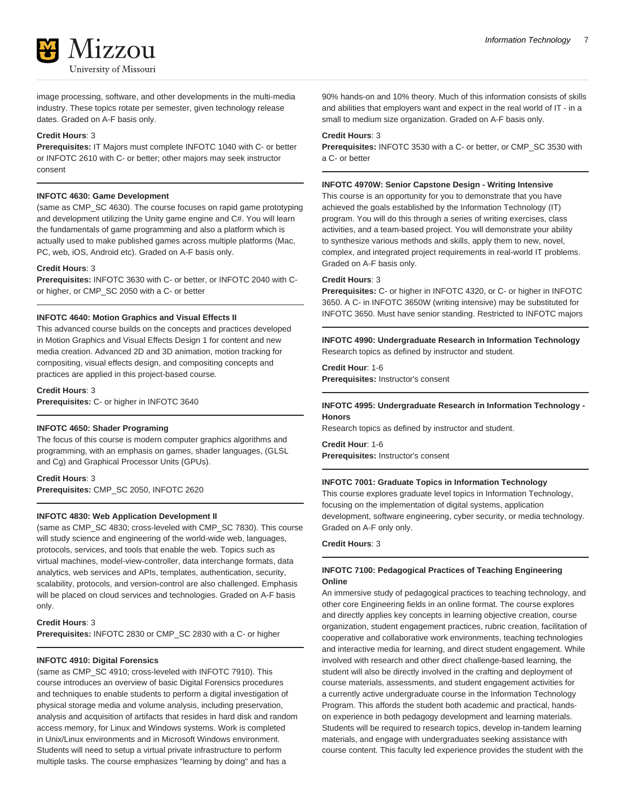

image processing, software, and other developments in the multi-media industry. These topics rotate per semester, given technology release dates. Graded on A-F basis only.

#### **Credit Hours**: 3

**Prerequisites:** IT Majors must complete INFOTC 1040 with C- or better or INFOTC 2610 with C- or better; other majors may seek instructor consent

#### **INFOTC 4630: Game Development**

(same as CMP\_SC 4630). The course focuses on rapid game prototyping and development utilizing the Unity game engine and C#. You will learn the fundamentals of game programming and also a platform which is actually used to make published games across multiple platforms (Mac, PC, web, iOS, Android etc). Graded on A-F basis only.

#### **Credit Hours**: 3

**Prerequisites:** INFOTC 3630 with C- or better, or INFOTC 2040 with Cor higher, or CMP\_SC 2050 with a C- or better

#### **INFOTC 4640: Motion Graphics and Visual Effects II**

This advanced course builds on the concepts and practices developed in Motion Graphics and Visual Effects Design 1 for content and new media creation. Advanced 2D and 3D animation, motion tracking for compositing, visual effects design, and compositing concepts and practices are applied in this project-based course.

**Credit Hours**: 3 **Prerequisites:** C- or higher in INFOTC 3640

#### **INFOTC 4650: Shader Programing**

The focus of this course is modern computer graphics algorithms and programming, with an emphasis on games, shader languages, (GLSL and Cg) and Graphical Processor Units (GPUs).

#### **Credit Hours**: 3 **Prerequisites:** CMP\_SC 2050, INFOTC 2620

#### **INFOTC 4830: Web Application Development II**

(same as CMP\_SC 4830; cross-leveled with CMP\_SC 7830). This course will study science and engineering of the world-wide web, languages, protocols, services, and tools that enable the web. Topics such as virtual machines, model-view-controller, data interchange formats, data analytics, web services and APIs, templates, authentication, security, scalability, protocols, and version-control are also challenged. Emphasis will be placed on cloud services and technologies. Graded on A-F basis only.

#### **Credit Hours**: 3

**Prerequisites:** INFOTC 2830 or CMP\_SC 2830 with a C- or higher

#### **INFOTC 4910: Digital Forensics**

(same as CMP\_SC 4910; cross-leveled with INFOTC 7910). This course introduces an overview of basic Digital Forensics procedures and techniques to enable students to perform a digital investigation of physical storage media and volume analysis, including preservation, analysis and acquisition of artifacts that resides in hard disk and random access memory, for Linux and Windows systems. Work is completed in Unix/Linux environments and in Microsoft Windows environment. Students will need to setup a virtual private infrastructure to perform multiple tasks. The course emphasizes "learning by doing" and has a

90% hands-on and 10% theory. Much of this information consists of skills and abilities that employers want and expect in the real world of IT - in a small to medium size organization. Graded on A-F basis only.

#### **Credit Hours**: 3

**Prerequisites:** INFOTC 3530 with a C- or better, or CMP\_SC 3530 with a C- or better

#### **INFOTC 4970W: Senior Capstone Design - Writing Intensive**

This course is an opportunity for you to demonstrate that you have achieved the goals established by the Information Technology (IT) program. You will do this through a series of writing exercises, class activities, and a team-based project. You will demonstrate your ability to synthesize various methods and skills, apply them to new, novel, complex, and integrated project requirements in real-world IT problems. Graded on A-F basis only.

#### **Credit Hours**: 3

**Prerequisites:** C- or higher in INFOTC 4320, or C- or higher in INFOTC 3650. A C- in INFOTC 3650W (writing intensive) may be substituted for INFOTC 3650. Must have senior standing. Restricted to INFOTC majors

**INFOTC 4990: Undergraduate Research in Information Technology** Research topics as defined by instructor and student.

**Credit Hour**: 1-6 **Prerequisites:** Instructor's consent

#### **INFOTC 4995: Undergraduate Research in Information Technology - Honors**

Research topics as defined by instructor and student.

**Credit Hour**: 1-6 **Prerequisites:** Instructor's consent

#### **INFOTC 7001: Graduate Topics in Information Technology**

This course explores graduate level topics in Information Technology, focusing on the implementation of digital systems, application development, software engineering, cyber security, or media technology. Graded on A-F only only.

#### **Credit Hours**: 3

#### **INFOTC 7100: Pedagogical Practices of Teaching Engineering Online**

An immersive study of pedagogical practices to teaching technology, and other core Engineering fields in an online format. The course explores and directly applies key concepts in learning objective creation, course organization, student engagement practices, rubric creation, facilitation of cooperative and collaborative work environments, teaching technologies and interactive media for learning, and direct student engagement. While involved with research and other direct challenge-based learning, the student will also be directly involved in the crafting and deployment of course materials, assessments, and student engagement activities for a currently active undergraduate course in the Information Technology Program. This affords the student both academic and practical, handson experience in both pedagogy development and learning materials. Students will be required to research topics, develop in-tandem learning materials, and engage with undergraduates seeking assistance with course content. This faculty led experience provides the student with the